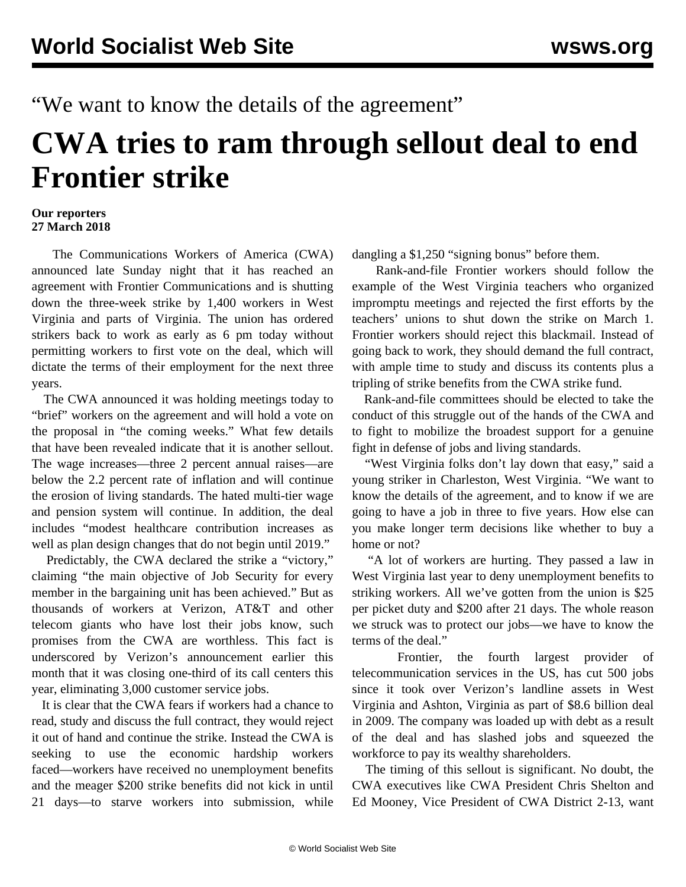## "We want to know the details of the agreement"

## **CWA tries to ram through sellout deal to end Frontier strike**

## **Our reporters 27 March 2018**

 The Communications Workers of America (CWA) announced late Sunday night that it has reached an agreement with Frontier Communications and is shutting down the three-week strike by 1,400 workers in West Virginia and parts of Virginia. The union has ordered strikers back to work as early as 6 pm today without permitting workers to first vote on the deal, which will dictate the terms of their employment for the next three years.

 The CWA announced it was holding meetings today to "brief" workers on the agreement and will hold a vote on the proposal in "the coming weeks." What few details that have been revealed indicate that it is another sellout. The wage increases—three 2 percent annual raises—are below the 2.2 percent rate of inflation and will continue the erosion of living standards. The hated multi-tier wage and pension system will continue. In addition, the deal includes "modest healthcare contribution increases as well as plan design changes that do not begin until 2019."

 Predictably, the CWA declared the strike a "victory," claiming "the main objective of Job Security for every member in the bargaining unit has been achieved." But as thousands of workers at Verizon, AT&T and other telecom giants who have lost their jobs know, such promises from the CWA are worthless. This fact is underscored by Verizon's announcement earlier this month that it was closing one-third of its call centers this year, eliminating 3,000 customer service jobs.

 It is clear that the CWA fears if workers had a chance to read, study and discuss the full contract, they would reject it out of hand and continue the strike. Instead the CWA is seeking to use the economic hardship workers faced—workers have received no unemployment benefits and the meager \$200 strike benefits did not kick in until 21 days—to starve workers into submission, while

dangling a \$1,250 "signing bonus" before them.

 Rank-and-file Frontier workers should follow the example of the West Virginia teachers who organized impromptu meetings and rejected the first efforts by the teachers' unions to shut down the strike on March 1. Frontier workers should reject this blackmail. Instead of going back to work, they should demand the full contract, with ample time to study and discuss its contents plus a tripling of strike benefits from the CWA strike fund.

 Rank-and-file committees should be elected to take the conduct of this struggle out of the hands of the CWA and to fight to mobilize the broadest support for a genuine fight in defense of jobs and living standards.

 "West Virginia folks don't lay down that easy," said a young striker in Charleston, West Virginia. "We want to know the details of the agreement, and to know if we are going to have a job in three to five years. How else can you make longer term decisions like whether to buy a home or not?

 "A lot of workers are hurting. They passed a law in West Virginia last year to deny unemployment benefits to striking workers. All we've gotten from the union is \$25 per picket duty and \$200 after 21 days. The whole reason we struck was to protect our jobs—we have to know the terms of the deal."

 Frontier, the fourth largest provider of telecommunication services in the US, has cut 500 jobs since it took over Verizon's landline assets in West Virginia and Ashton, Virginia as part of \$8.6 billion deal in 2009. The company was loaded up with debt as a result of the deal and has slashed jobs and squeezed the workforce to pay its wealthy shareholders.

 The timing of this sellout is significant. No doubt, the CWA executives like CWA President Chris Shelton and Ed Mooney, Vice President of CWA District 2-13, want